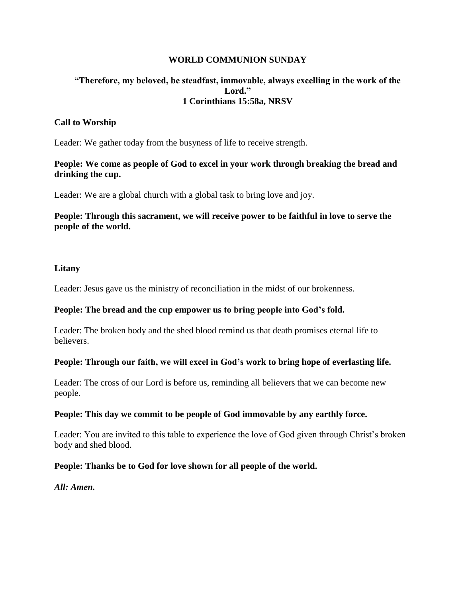#### **WORLD COMMUNION SUNDAY**

## **"Therefore, my beloved, be steadfast, immovable, always excelling in the work of the Lord." 1 Corinthians 15:58a, NRSV**

### **Call to Worship**

Leader: We gather today from the busyness of life to receive strength.

### **People: We come as people of God to excel in your work through breaking the bread and drinking the cup.**

Leader: We are a global church with a global task to bring love and joy.

**People: Through this sacrament, we will receive power to be faithful in love to serve the people of the world.**

#### **Litany**

Leader: Jesus gave us the ministry of reconciliation in the midst of our brokenness.

#### **People: The bread and the cup empower us to bring people into God's fold.**

Leader: The broken body and the shed blood remind us that death promises eternal life to believers.

#### **People: Through our faith, we will excel in God's work to bring hope of everlasting life.**

Leader: The cross of our Lord is before us, reminding all believers that we can become new people.

#### **People: This day we commit to be people of God immovable by any earthly force.**

Leader: You are invited to this table to experience the love of God given through Christ's broken body and shed blood.

#### **People: Thanks be to God for love shown for all people of the world.**

*All: Amen.*